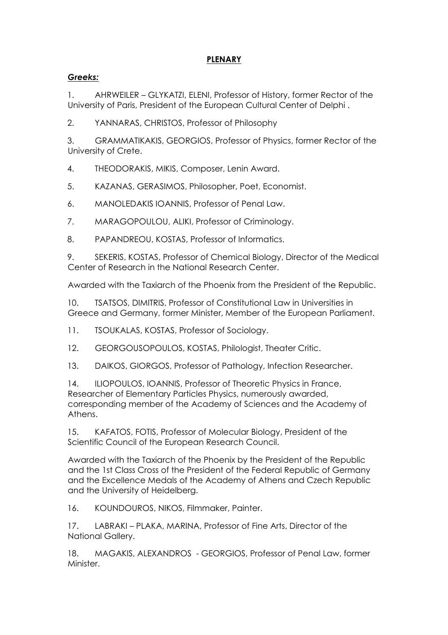## **PLENARY**

## *Greeks:*

1. AHRWEILER – GLYKATZI, ELENI, Professor of History, former Rector of the University of Paris, President of the European Cultural Center of Delphi .

2. YANNARAS, CHRISTOS, Professor of Philosophy

3. GRAMMATIKAKIS, GEORGIOS, Professor of Physics, former Rector of the University of Crete.

- 4. THEODORAKIS, MIKIS, Composer, Lenin Award.
- 5. KAZANAS, GERASIMOS, Philosopher, Poet, Economist.
- 6. MANOLEDAKIS IOANNIS, Professor of Penal Law.
- 7. MARAGOPOULOU, ALIKI, Professor of Criminology.
- 8. PAPANDREOU, KOSTAS, Professor of Informatics.

9. SEKERIS, KOSTAS, Professor of Chemical Biology, Director of the Medical Center of Research in the National Research Center.

Awarded with the Taxiarch of the Phoenix from the President of the Republic.

10. TSATSOS, DIMITRIS, Professor of Constitutional Law in Universities in Greece and Germany, former Minister, Member of the European Parliament.

11. TSOUKALAS, KOSTAS, Professor of Sociology.

- 12. GEORGOUSOPOULOS, KOSTAS, Philologist, Theater Critic.
- 13. DAIKOS, GIORGOS, Professor of Pathology, Infection Researcher.

14. ILIOPOULOS, IOANNIS, Professor of Theoretic Physics in France, Researcher of Elementary Particles Physics, numerously awarded, corresponding member of the Academy of Sciences and the Academy of Athens.

15. KAFATOS, FOTIS, Professor of Molecular Biology, President of the Scientific Council of the European Research Council.

Awarded with the Taxiarch of the Phoenix by the President of the Republic and the 1st Class Cross of the President of the Federal Republic of Germany and the Excellence Medals of the Academy of Athens and Czech Republic and the University of Heidelberg.

16. KOUNDOUROS, NIKOS, Filmmaker, Painter.

17. LABRAKI – PLAKA, MARINA, Professor of Fine Arts, Director of the National Gallery.

18. MAGAKIS, ALEXANDROS - GEORGIOS, Professor of Penal Law, former **Minister**